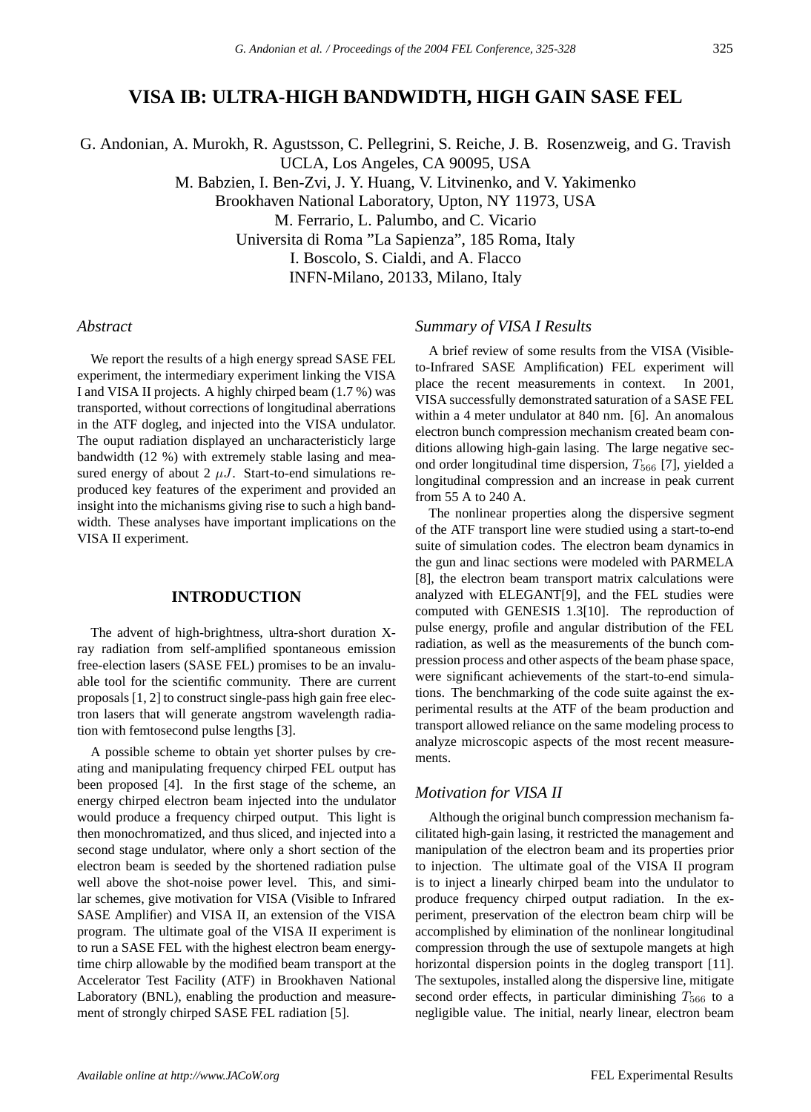# **VISA IB: ULTRA-HIGH BANDWIDTH, HIGH GAIN SASE FEL**

G. Andonian, A. Murokh, R. Agustsson, C. Pellegrini, S. Reiche, J. B. Rosenzweig, and G. Travish UCLA, Los Angeles, CA 90095, USA

M. Babzien, I. Ben-Zvi, J. Y. Huang, V. Litvinenko, and V. Yakimenko

Brookhaven National Laboratory, Upton, NY 11973, USA

M. Ferrario, L. Palumbo, and C. Vicario

Universita di Roma "La Sapienza", 185 Roma, Italy

I. Boscolo, S. Cialdi, and A. Flacco

INFN-Milano, 20133, Milano, Italy

### *Abstract*

We report the results of a high energy spread SASE FEL experiment, the intermediary experiment linking the VISA I and VISA II projects. A highly chirped beam (1.7 %) was transported, without corrections of longitudinal aberrations in the ATF dogleg, and injected into the VISA undulator. The ouput radiation displayed an uncharacteristicly large bandwidth (12 %) with extremely stable lasing and measured energy of about 2  $\mu$ J. Start-to-end simulations reproduced key features of the experiment and provided an insight into the michanisms giving rise to such a high bandwidth. These analyses have important implications on the VISA II experiment.

## **INTRODUCTION**

The advent of high-brightness, ultra-short duration Xray radiation from self-amplified spontaneous emission free-election lasers (SASE FEL) promises to be an invaluable tool for the scientific community. There are current proposals [1, 2] to construct single-pass high gain free electron lasers that will generate angstrom wavelength radiation with femtosecond pulse lengths [3].

A possible scheme to obtain yet shorter pulses by creating and manipulating frequency chirped FEL output has been proposed [4]. In the first stage of the scheme, an energy chirped electron beam injected into the undulator would produce a frequency chirped output. This light is then monochromatized, and thus sliced, and injected into a second stage undulator, where only a short section of the electron beam is seeded by the shortened radiation pulse well above the shot-noise power level. This, and similar schemes, give motivation for VISA (Visible to Infrared SASE Amplifier) and VISA II, an extension of the VISA program. The ultimate goal of the VISA II experiment is to run a SASE FEL with the highest electron beam energytime chirp allowable by the modified beam transport at the Accelerator Test Facility (ATF) in Brookhaven National Laboratory (BNL), enabling the production and measurement of strongly chirped SASE FEL radiation [5].

#### *Summary of VISA I Results*

A brief review of some results from the VISA (Visibleto-Infrared SASE Amplification) FEL experiment will place the recent measurements in context. In 2001, VISA successfully demonstrated saturation of a SASE FEL within a 4 meter undulator at 840 nm. [6]. An anomalous electron bunch compression mechanism created beam conditions allowing high-gain lasing. The large negative second order longitudinal time dispersion,  $T_{566}$  [7], yielded a longitudinal compression and an increase in peak current from 55 A to 240 A.

The nonlinear properties along the dispersive segment of the ATF transport line were studied using a start-to-end suite of simulation codes. The electron beam dynamics in the gun and linac sections were modeled with PARMELA [8], the electron beam transport matrix calculations were analyzed with ELEGANT[9], and the FEL studies were computed with GENESIS 1.3[10]. The reproduction of pulse energy, profile and angular distribution of the FEL radiation, as well as the measurements of the bunch compression process and other aspects of the beam phase space, were significant achievements of the start-to-end simulations. The benchmarking of the code suite against the experimental results at the ATF of the beam production and transport allowed reliance on the same modeling process to analyze microscopic aspects of the most recent measurements.

## *Motivation for VISA II*

Although the original bunch compression mechanism facilitated high-gain lasing, it restricted the management and manipulation of the electron beam and its properties prior to injection. The ultimate goal of the VISA II program is to inject a linearly chirped beam into the undulator to produce frequency chirped output radiation. In the experiment, preservation of the electron beam chirp will be accomplished by elimination of the nonlinear longitudinal compression through the use of sextupole mangets at high horizontal dispersion points in the dogleg transport [11]. The sextupoles, installed along the dispersive line, mitigate second order effects, in particular diminishing  $T_{566}$  to a negligible value. The initial, nearly linear, electron beam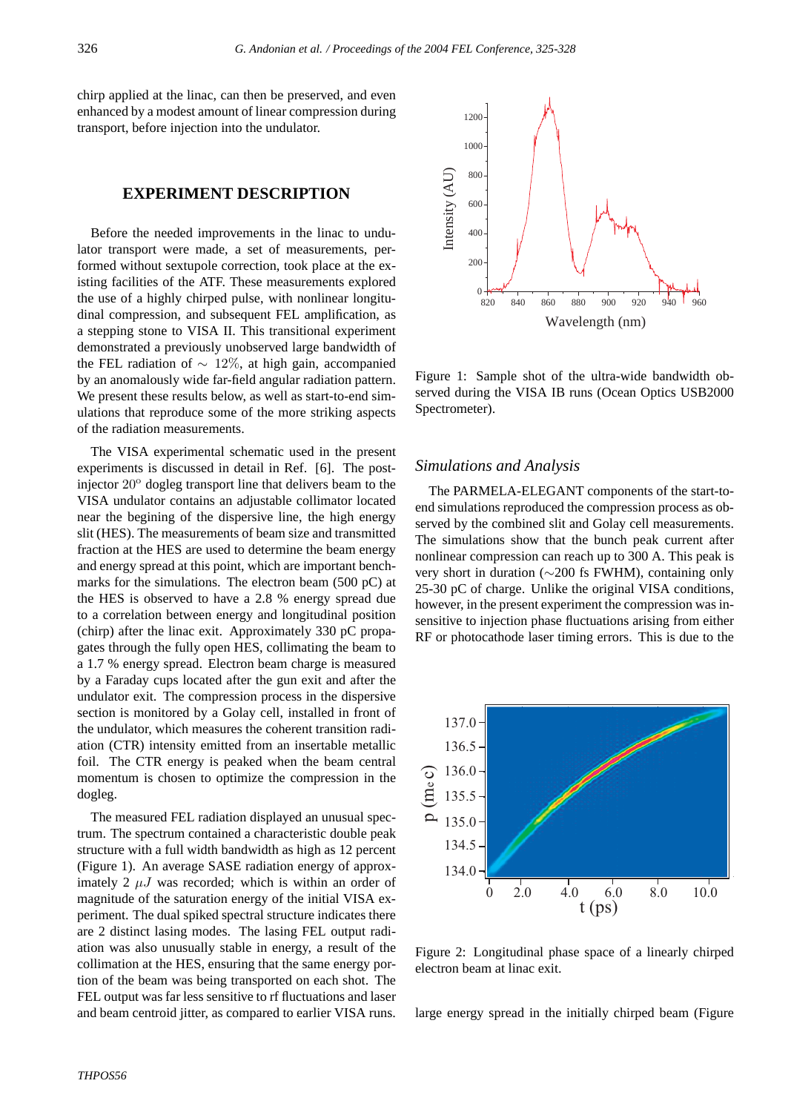chirp applied at the linac, can then be preserved, and even enhanced by a modest amount of linear compression during transport, before injection into the undulator.

# **EXPERIMENT DESCRIPTION**

Before the needed improvements in the linac to undulator transport were made, a set of measurements, performed without sextupole correction, took place at the existing facilities of the ATF. These measurements explored the use of a highly chirped pulse, with nonlinear longitudinal compression, and subsequent FEL amplification, as a stepping stone to VISA II. This transitional experiment demonstrated a previously unobserved large bandwidth of the FEL radiation of  $\sim 12\%$ , at high gain, accompanied by an anomalously wide far-field angular radiation pattern. We present these results below, as well as start-to-end simulations that reproduce some of the more striking aspects of the radiation measurements.

The VISA experimental schematic used in the present experiments is discussed in detail in Ref. [6]. The postinjector 20<sup>o</sup> dogleg transport line that delivers beam to the VISA undulator contains an adjustable collimator located near the begining of the dispersive line, the high energy slit (HES). The measurements of beam size and transmitted fraction at the HES are used to determine the beam energy and energy spread at this point, which are important benchmarks for the simulations. The electron beam (500 pC) at the HES is observed to have a 2.8 % energy spread due to a correlation between energy and longitudinal position (chirp) after the linac exit. Approximately 330 pC propagates through the fully open HES, collimating the beam to a 1.7 % energy spread. Electron beam charge is measured by a Faraday cups located after the gun exit and after the undulator exit. The compression process in the dispersive section is monitored by a Golay cell, installed in front of the undulator, which measures the coherent transition radiation (CTR) intensity emitted from an insertable metallic foil. The CTR energy is peaked when the beam central momentum is chosen to optimize the compression in the dogleg.

The measured FEL radiation displayed an unusual spectrum. The spectrum contained a characteristic double peak structure with a full width bandwidth as high as 12 percent (Figure 1). An average SASE radiation energy of approximately 2  $\mu$ J was recorded; which is within an order of magnitude of the saturation energy of the initial VISA experiment. The dual spiked spectral structure indicates there are 2 distinct lasing modes. The lasing FEL output radiation was also unusually stable in energy, a result of the collimation at the HES, ensuring that the same energy portion of the beam was being transported on each shot. The FEL output was far less sensitive to rf fluctuations and laser and beam centroid jitter, as compared to earlier VISA runs.



Figure 1: Sample shot of the ultra-wide bandwidth observed during the VISA IB runs (Ocean Optics USB2000 Spectrometer).

### *Simulations and Analysis*

The PARMELA-ELEGANT components of the start-toend simulations reproduced the compression process as observed by the combined slit and Golay cell measurements. The simulations show that the bunch peak current after nonlinear compression can reach up to 300 A. This peak is very short in duration (∼200 fs FWHM), containing only 25-30 pC of charge. Unlike the original VISA conditions, however, in the present experiment the compression was insensitive to injection phase fluctuations arising from either RF or photocathode laser timing errors. This is due to the



Figure 2: Longitudinal phase space of a linearly chirped electron beam at linac exit.

large energy spread in the initially chirped beam (Figure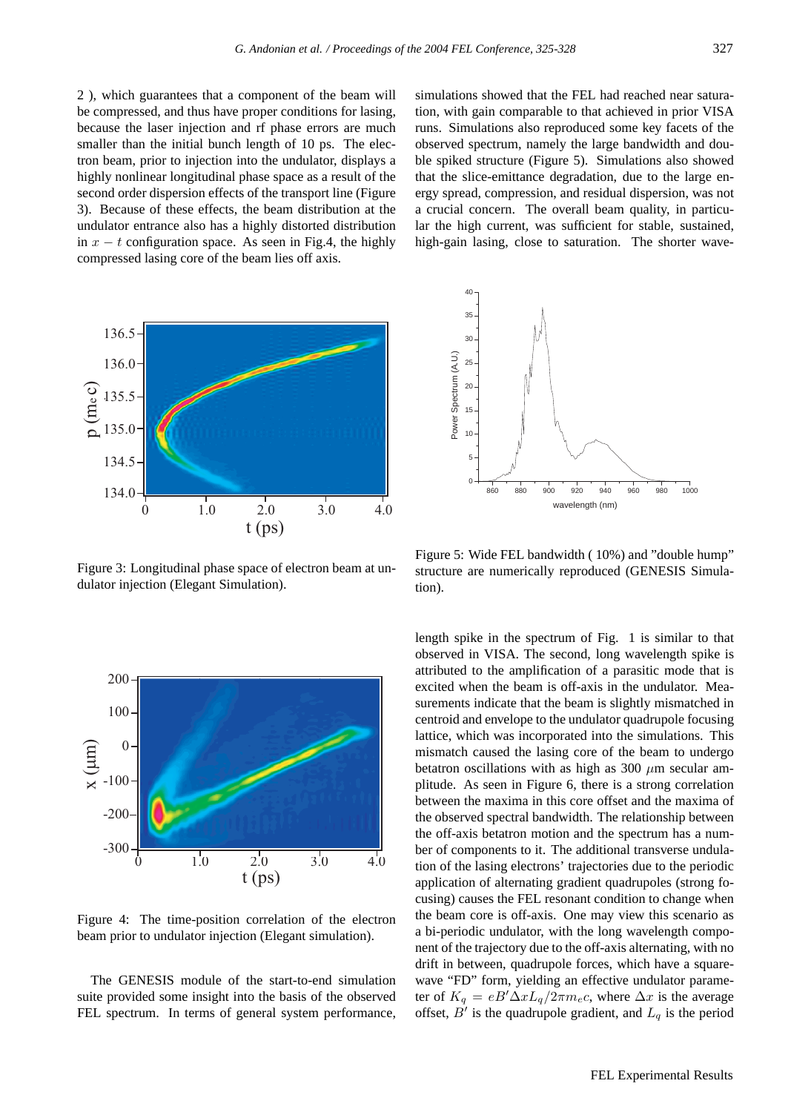2 ), which guarantees that a component of the beam will be compressed, and thus have proper conditions for lasing, because the laser injection and rf phase errors are much smaller than the initial bunch length of 10 ps. The electron beam, prior to injection into the undulator, displays a highly nonlinear longitudinal phase space as a result of the second order dispersion effects of the transport line (Figure 3). Because of these effects, the beam distribution at the undulator entrance also has a highly distorted distribution in  $x - t$  configuration space. As seen in Fig.4, the highly compressed lasing core of the beam lies off axis.



Figure 3: Longitudinal phase space of electron beam at undulator injection (Elegant Simulation).



Figure 4: The time-position correlation of the electron beam prior to undulator injection (Elegant simulation).

The GENESIS module of the start-to-end simulation suite provided some insight into the basis of the observed FEL spectrum. In terms of general system performance,

simulations showed that the FEL had reached near saturation, with gain comparable to that achieved in prior VISA runs. Simulations also reproduced some key facets of the observed spectrum, namely the large bandwidth and double spiked structure (Figure 5). Simulations also showed that the slice-emittance degradation, due to the large energy spread, compression, and residual dispersion, was not a crucial concern. The overall beam quality, in particular the high current, was sufficient for stable, sustained, high-gain lasing, close to saturation. The shorter wave-



Figure 5: Wide FEL bandwidth ( 10%) and "double hump" structure are numerically reproduced (GENESIS Simulation).

length spike in the spectrum of Fig. 1 is similar to that observed in VISA. The second, long wavelength spike is attributed to the amplification of a parasitic mode that is excited when the beam is off-axis in the undulator. Measurements indicate that the beam is slightly mismatched in centroid and envelope to the undulator quadrupole focusing lattice, which was incorporated into the simulations. This mismatch caused the lasing core of the beam to undergo betatron oscillations with as high as 300  $\mu$ m secular amplitude. As seen in Figure 6, there is a strong correlation between the maxima in this core offset and the maxima of the observed spectral bandwidth. The relationship between the off-axis betatron motion and the spectrum has a number of components to it. The additional transverse undulation of the lasing electrons' trajectories due to the periodic application of alternating gradient quadrupoles (strong focusing) causes the FEL resonant condition to change when the beam core is off-axis. One may view this scenario as a bi-periodic undulator, with the long wavelength component of the trajectory due to the off-axis alternating, with no drift in between, quadrupole forces, which have a squarewave "FD" form, yielding an effective undulator parameter of  $K_q = eB' \Delta x L_q / 2\pi m_e c$ , where  $\Delta x$  is the average offset,  $B'$  is the quadrupole gradient, and  $L_q$  is the period